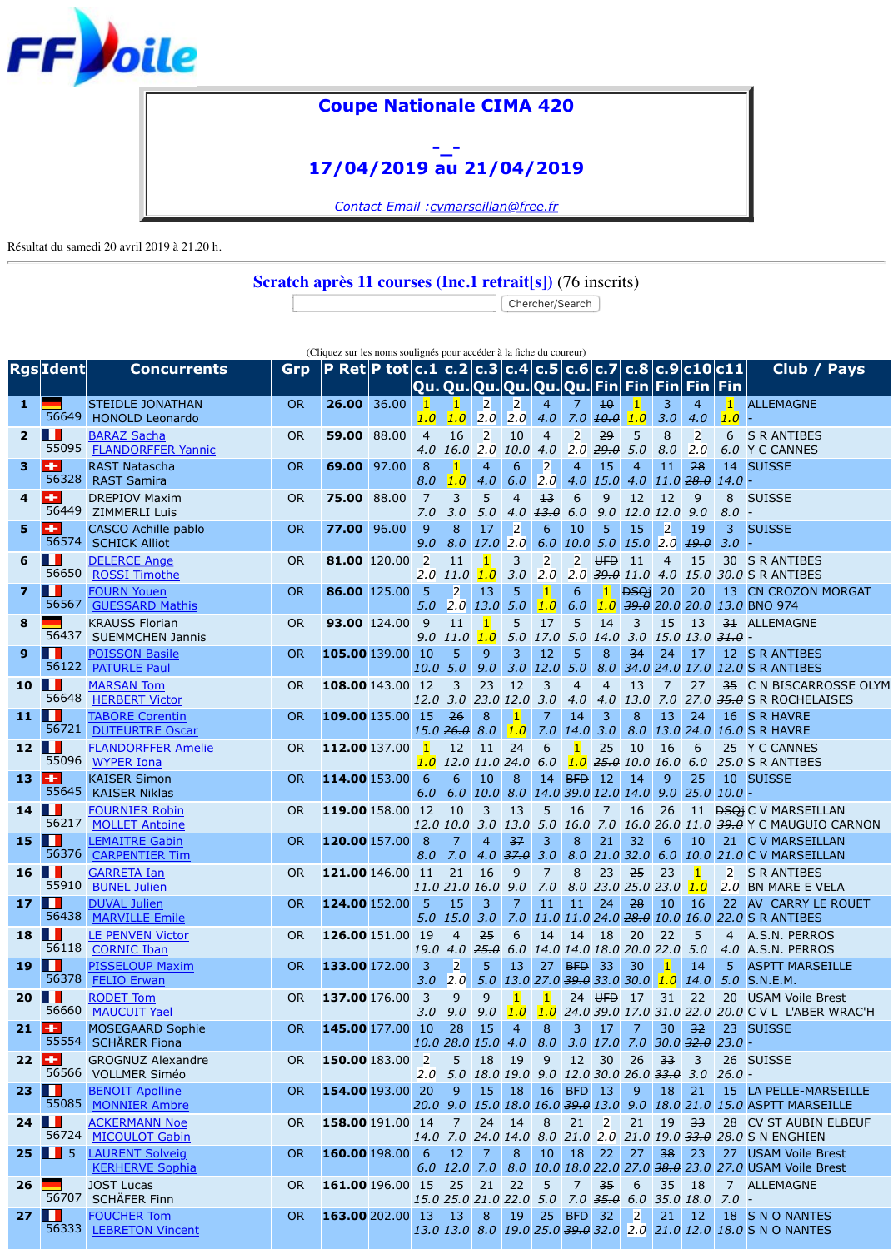|                         | 56449                         | <b>UNLI JUV TIGAILIT</b><br><b>ZIMMERLI Luis</b>    | on        |               | ᠊ᡂ᠋᠇ᠣᠣ       | 7.0                   | ᢖ<br>3.0                       | J<br>5.0                        | 4.0                   | ᠴᢖ<br>13.0             | 6.                                 |
|-------------------------|-------------------------------|-----------------------------------------------------|-----------|---------------|--------------|-----------------------|--------------------------------|---------------------------------|-----------------------|------------------------|------------------------------------|
| 5                       | ÷<br>56574                    | <b>CASCO Achille pablo</b><br><b>SCHICK Alliot</b>  | <b>OR</b> | 77.00         | 96.00        | 9<br>9.0              | 8<br>8.0                       | 17<br>17.0                      | $\overline{2}$<br>2.0 | 6<br>6.0               | 1<br>10                            |
| 6                       | ш<br>56650                    | <b>DELERCE Ange</b><br><b>ROSSI Timothe</b>         | <b>OR</b> |               | 81.00 120.00 | $\overline{2}$<br>2.0 | 11<br>11.0                     | $\vert$ 1<br>1.0                | $\overline{3}$<br>3.0 | $\overline{2}$<br>2.0  | $\overline{a}$<br>$\overline{2}$ . |
| $\overline{\mathbf{z}}$ | $\dot{\mathbf{O}}$<br>56567   | <b>FOURN Youen</b><br><b>GUESSARD Mathis</b>        | <b>OR</b> |               | 86.00 125.00 | $5\phantom{1}$<br>5.0 | $\overline{2}$<br>2.0          | 13<br>13.0                      | 5<br>5.0              | $\mathbf{1}$<br>1.0    | 6<br>6.                            |
| 8                       | 56437                         | <b>KRAUSS Florian</b><br><b>SUEMMCHEN Jannis</b>    | <b>OR</b> |               | 93.00 124.00 | 9<br>9.0              | 11<br><b>11.0</b>              | 1 <br>1.0                       | 5<br>5.0              | 17<br>17.0             | 5<br>5.                            |
| 9                       |                               | <b>POISSON Basile</b>                               | <b>OR</b> | 105.00 139.00 |              | 10                    | 5                              | 9                               | 3                     | 12                     | 5                                  |
| 10                      | 56122<br>ш                    | <b>PATURLE Paul</b><br><b>MARSAN Tom</b>            | <b>OR</b> | 108.00 143.00 |              | 10.0<br>12            | 5.0<br>3                       | 9.0<br>23                       | 3.0<br>12             | 12.0<br>$\overline{3}$ | 5.<br>4                            |
| 11                      | 56648<br>ш                    | <b>HERBERT Victor</b><br><b>TABORE Corentin</b>     | <b>OR</b> | 109.00 135.00 |              | 12.0<br>15            | 26                             | 3.0 23.0 12.0<br>8              | $\vert$ 1             | 3.0<br>7               | 4.<br>1 <sub>1</sub>               |
| 12                      | 56721<br>ш                    | <b>DUTEURTRE Oscar</b><br><b>FLANDORFFER Amelie</b> | <b>OR</b> | 112.00 137.00 |              | $\vert 1 \vert$       | $15.0 \, 26.0$<br>12           | 8.0<br>11                       | 1.0<br>24             | 7.0<br>6               | 14                                 |
| 13                      | 55096<br>۰                    | <b>WYPER Iona</b><br><b>KAISER Simon</b>            | <b>OR</b> | 114.00 153.00 |              | 1.0<br>6              | 6                              | 12.0 11.0 24.0<br>10            | 8                     | 6.0<br>14              | $\mathbf{1}$ .<br><b>BF</b>        |
|                         | 55645                         | <b>KAISER Niklas</b>                                |           |               |              | 6.0                   | 6.0                            | 10.0                            | 8.0                   | 14.0                   | 39                                 |
| 14                      | ш<br>56217                    | <b>FOURNIER Robin</b><br><b>MOLLET Antoine</b>      | <b>OR</b> | 119.00 158.00 |              | 12                    | 10<br>12.0 10.0                | 3<br>3.0                        | 13<br>13.0            | 5<br>5.0               | 1 <sub>0</sub><br>16               |
| 15                      | ш<br>56376                    | <b>LEMAITRE Gabin</b><br><b>CARPENTIER Tim</b>      | <b>OR</b> | 120.00 157.00 |              | 8<br>8.0              | $\overline{7}$<br>7.0          | $\overline{4}$<br>4.0           | 37<br>37.0            | 3<br>3.0               | 8<br>8.                            |
| 16                      | ш<br>55910                    | <b>GARRETA Ian</b><br><b>BUNEL Julien</b>           | <b>OR</b> | 121.00 146.00 |              | 11                    | 21<br>11.0 21.0 16.0           | 16                              | 9<br>9.0              | $\overline{7}$<br>7.0  | 8<br>8.                            |
| 17                      | 56438                         | <b>DUVAL Julien</b><br><b>MARVILLE Emile</b>        | <b>OR</b> | 124.00 152.00 |              | 5                     | 15<br>5.0 15.0 3.0 7.0 11.0 11 | 3                               | $\overline{7}$        | 11                     | $\mathbf{1}$                       |
| 18                      | 56118                         | <b>LE PENVEN Victor</b><br><b>CORNIC Iban</b>       | <b>OR</b> | 126.00 151.00 |              | 19<br>19.0            | $\overline{4}$<br>4.0          | 25<br>$25.\theta$               | 6<br>6.0              | 14<br>14.0 14          | 1 <sub>1</sub>                     |
| 19                      | ш<br>56378                    | <b>PISSELOUP Maxim</b><br><b>FELIO Erwan</b>        | <b>OR</b> | 133.00 172.00 |              | 3<br>3.0              | $\overline{2}$<br>2.0          | 5<br>5.0                        | 13                    | 27<br>$13.0$ 27.0 39   | <b>BF</b>                          |
| 20                      | ш<br>56660                    | <b>RODET Tom</b>                                    | <b>OR</b> | 137.00 176.00 |              | $\overline{3}$        | 9                              | 9                               | $\vert$ 1             | $\overline{1}$         | 2 <sub>4</sub>                     |
| 21                      | ÷                             | <b>MAUCUIT Yael</b><br><b>MOSEGAARD Sophie</b>      | <b>OR</b> | 145.00 177.00 |              | 3.0<br>10             | 9.0<br>28                      | 9.0<br>15                       | 1.0<br>$\overline{4}$ | 1.0<br>8               | 24<br>3                            |
| 22                      | 55554<br>٠                    | <b>SCHÄRER Fiona</b><br><b>GROGNUZ Alexandre</b>    | <b>OR</b> | 150.00 183.00 |              | $\overline{2}$        | 10.0 28.0 15.0<br>5            | 18                              | 4.0<br>19             | 8.0<br>9               | 3.<br>11                           |
| 23                      | 56566<br>Ш                    | <b>VOLLMER Siméo</b><br><b>BENOIT Apolline</b>      | <b>OR</b> | 154.00 193.00 |              | 2.0<br>20             | 5.0<br>9                       | 18.0 19.0<br>15                 | 18                    | 9.0<br>16              | 12<br><b>BF</b>                    |
| 24                      | 55085<br>ш                    | <b>MONNIER Ambre</b><br><b>ACKERMANN Noe</b>        | <b>OR</b> | 158.00 191.00 |              | 20.0<br>14            | 9.0<br>$\overline{7}$          | 15.0 18.0 16.0 39<br>24         | 14                    | 8                      | 2:                                 |
| 25                      | 56724<br>$5\overline{5}$<br>ш | <b>MICOULOT Gabin</b><br><b>LAURENT Solveig</b>     | <b>OR</b> | 160.00 198.00 |              | <b>14.0</b><br>6      | 12                             | 7.0 24.0 14.0<br>$\overline{7}$ | 8                     | 8.0<br>10              | 21<br>1                            |
|                         |                               | <b>KERHERVE Sophia</b>                              |           |               |              | 6.0                   | <b>12.0</b>                    | 7.0                             | 8.0                   | 10.0 18                |                                    |
| 26                      | 56707                         | <b>JOST Lucas</b><br><b>SCHÄFER Finn</b>            | <b>OR</b> | 161.00 196.00 |              | 15                    | 25<br>15.0 25.0 21.0 22.0      | 21                              | 22                    | 5<br>5.0               | 7<br>7.                            |
| 27                      | 56333                         | <b>FOUCHER Tom</b><br><b>LEBRETON Vincent</b>       | <b>OR</b> | 163.00 202.00 |              | 13                    | 13<br>13.0 13.0                | 8<br>8.0                        | 19                    | 25<br>$19.0$ 25.0 39   | <b>BF</b>                          |